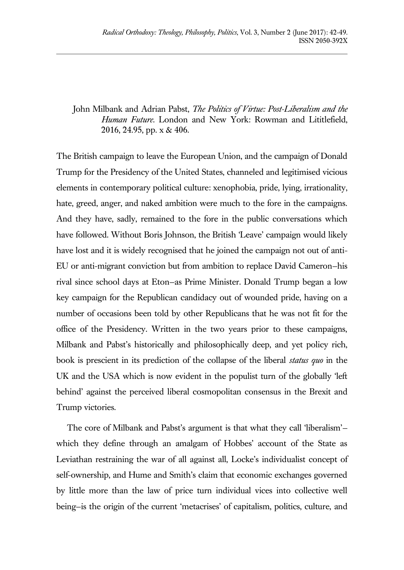## John Milbank and Adrian Pabst, *The Politics of Virtue: Post-Liberalism and the Human Future*. London and New York: Rowman and Lititlefield, 2016, 24.95, pp. x & 406.

The British campaign to leave the European Union, and the campaign of Donald Trump for the Presidency of the United States, channeled and legitimised vicious elements in contemporary political culture: xenophobia, pride, lying, irrationality, hate, greed, anger, and naked ambition were much to the fore in the campaigns. And they have, sadly, remained to the fore in the public conversations which have followed. Without Boris Johnson, the British 'Leave' campaign would likely have lost and it is widely recognised that he joined the campaign not out of anti-EU or anti-migrant conviction but from ambition to replace David Cameron—his rival since school days at Eton—as Prime Minister. Donald Trump began a low key campaign for the Republican candidacy out of wounded pride, having on a number of occasions been told by other Republicans that he was not fit for the office of the Presidency. Written in the two years prior to these campaigns, Milbank and Pabst's historically and philosophically deep, and yet policy rich, book is prescient in its prediction of the collapse of the liberal *status quo* in the UK and the USA which is now evident in the populist turn of the globally 'left behind' against the perceived liberal cosmopolitan consensus in the Brexit and Trump victories.

The core of Milbank and Pabst's argument is that what they call 'liberalism' which they define through an amalgam of Hobbes' account of the State as Leviathan restraining the war of all against all, Locke's individualist concept of self-ownership, and Hume and Smith's claim that economic exchanges governed by little more than the law of price turn individual vices into collective well being—is the origin of the current 'metacrises' of capitalism, politics, culture, and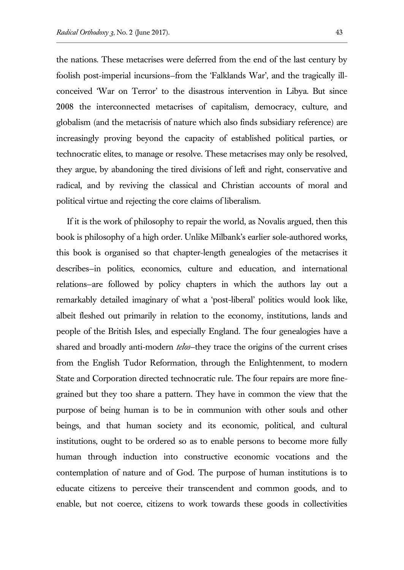the nations. These metacrises were deferred from the end of the last century by foolish post-imperial incursions—from the 'Falklands War', and the tragically illconceived 'War on Terror' to the disastrous intervention in Libya. But since 2008 the interconnected metacrises of capitalism, democracy, culture, and globalism (and the metacrisis of nature which also finds subsidiary reference) are increasingly proving beyond the capacity of established political parties, or technocratic elites, to manage or resolve. These metacrises may only be resolved, they argue, by abandoning the tired divisions of left and right, conservative and radical, and by reviving the classical and Christian accounts of moral and political virtue and rejecting the core claims of liberalism.

If it is the work of philosophy to repair the world, as Novalis argued, then this book is philosophy of a high order. Unlike Milbank's earlier sole-authored works, this book is organised so that chapter-length genealogies of the metacrises it describes—in politics, economics, culture and education, and international relations—are followed by policy chapters in which the authors lay out a remarkably detailed imaginary of what a 'post-liberal' politics would look like, albeit fleshed out primarily in relation to the economy, institutions, lands and people of the British Isles, and especially England. The four genealogies have a shared and broadly anti-modern *telos*—they trace the origins of the current crises from the English Tudor Reformation, through the Enlightenment, to modern State and Corporation directed technocratic rule. The four repairs are more finegrained but they too share a pattern. They have in common the view that the purpose of being human is to be in communion with other souls and other beings, and that human society and its economic, political, and cultural institutions, ought to be ordered so as to enable persons to become more fully human through induction into constructive economic vocations and the contemplation of nature and of God. The purpose of human institutions is to educate citizens to perceive their transcendent and common goods, and to enable, but not coerce, citizens to work towards these goods in collectivities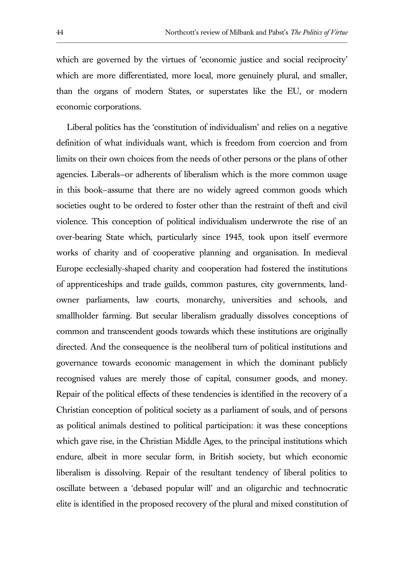which are governed by the virtues of 'economic justice and social reciprocity' which are more differentiated, more local, more genuinely plural, and smaller, than the organs of modern States, or superstates like the EU, or modern economic corporations.

Liberal politics has the 'constitution of individualism' and relies on a negative definition of what individuals want, which is freedom from coercion and from limits on their own choices from the needs of other persons or the plans of other agencies. Liberals—or adherents of liberalism which is the more common usage in this book—assume that there are no widely agreed common goods which societies ought to be ordered to foster other than the restraint of theft and civil violence. This conception of political individualism underwrote the rise of an over-bearing State which, particularly since 1945, took upon itself evermore works of charity and of cooperative planning and organisation. In medieval Europe ecclesially-shaped charity and cooperation had fostered the institutions of apprenticeships and trade guilds, common pastures, city governments, landowner parliaments, law courts, monarchy, universities and schools, and smallholder farming. But secular liberalism gradually dissolves conceptions of common and transcendent goods towards which these institutions are originally directed. And the consequence is the neoliberal turn of political institutions and governance towards economic management in which the dominant publicly recognised values are merely those of capital, consumer goods, and money. Repair of the political effects of these tendencies is identified in the recovery of a Christian conception of political society as a parliament of souls, and of persons as political animals destined to political participation: it was these conceptions which gave rise, in the Christian Middle Ages, to the principal institutions which endure, albeit in more secular form, in British society, but which economic liberalism is dissolving. Repair of the resultant tendency of liberal politics to oscillate between a 'debased popular will' and an oligarchic and technocratic elite is identified in the proposed recovery of the plural and mixed constitution of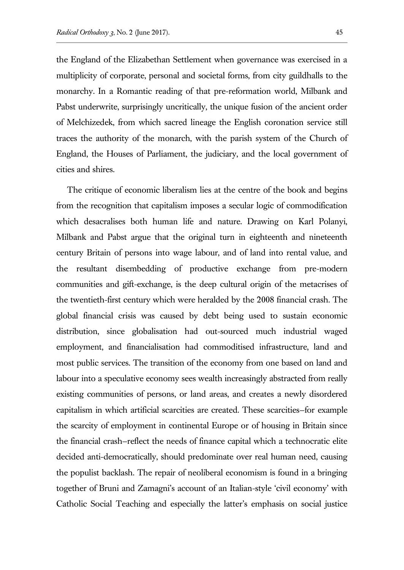the England of the Elizabethan Settlement when governance was exercised in a multiplicity of corporate, personal and societal forms, from city guildhalls to the monarchy. In a Romantic reading of that pre-reformation world, Milbank and Pabst underwrite, surprisingly uncritically, the unique fusion of the ancient order of Melchizedek, from which sacred lineage the English coronation service still traces the authority of the monarch, with the parish system of the Church of England, the Houses of Parliament, the judiciary, and the local government of cities and shires.

The critique of economic liberalism lies at the centre of the book and begins from the recognition that capitalism imposes a secular logic of commodification which desacralises both human life and nature. Drawing on Karl Polanyi, Milbank and Pabst argue that the original turn in eighteenth and nineteenth century Britain of persons into wage labour, and of land into rental value, and the resultant disembedding of productive exchange from pre-modern communities and gift-exchange, is the deep cultural origin of the metacrises of the twentieth-first century which were heralded by the 2008 financial crash. The global financial crisis was caused by debt being used to sustain economic distribution, since globalisation had out-sourced much industrial waged employment, and financialisation had commoditised infrastructure, land and most public services. The transition of the economy from one based on land and labour into a speculative economy sees wealth increasingly abstracted from really existing communities of persons, or land areas, and creates a newly disordered capitalism in which artificial scarcities are created. These scarcities—for example the scarcity of employment in continental Europe or of housing in Britain since the financial crash—reflect the needs of finance capital which a technocratic elite decided anti-democratically, should predominate over real human need, causing the populist backlash. The repair of neoliberal economism is found in a bringing together of Bruni and Zamagni's account of an Italian-style 'civil economy' with Catholic Social Teaching and especially the latter's emphasis on social justice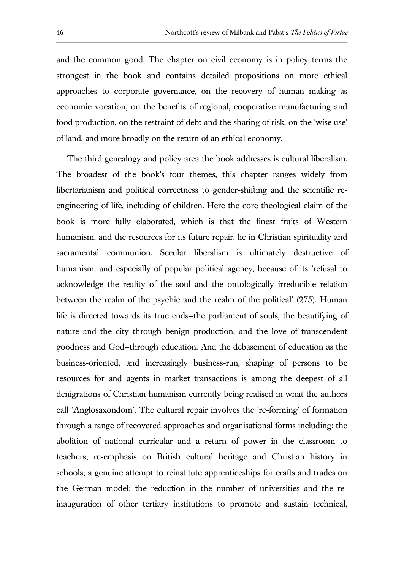and the common good. The chapter on civil economy is in policy terms the strongest in the book and contains detailed propositions on more ethical approaches to corporate governance, on the recovery of human making as economic vocation, on the benefits of regional, cooperative manufacturing and food production, on the restraint of debt and the sharing of risk, on the 'wise use' of land, and more broadly on the return of an ethical economy.

The third genealogy and policy area the book addresses is cultural liberalism. The broadest of the book's four themes, this chapter ranges widely from libertarianism and political correctness to gender-shifting and the scientific reengineering of life, including of children. Here the core theological claim of the book is more fully elaborated, which is that the finest fruits of Western humanism, and the resources for its future repair, lie in Christian spirituality and sacramental communion. Secular liberalism is ultimately destructive of humanism, and especially of popular political agency, because of its 'refusal to acknowledge the reality of the soul and the ontologically irreducible relation between the realm of the psychic and the realm of the political' (275). Human life is directed towards its true ends—the parliament of souls, the beautifying of nature and the city through benign production, and the love of transcendent goodness and God—through education. And the debasement of education as the business-oriented, and increasingly business-run, shaping of persons to be resources for and agents in market transactions is among the deepest of all denigrations of Christian humanism currently being realised in what the authors call 'Anglosaxondom'. The cultural repair involves the 're-forming' of formation through a range of recovered approaches and organisational forms including: the abolition of national curricular and a return of power in the classroom to teachers; re-emphasis on British cultural heritage and Christian history in schools; a genuine attempt to reinstitute apprenticeships for crafts and trades on the German model; the reduction in the number of universities and the reinauguration of other tertiary institutions to promote and sustain technical,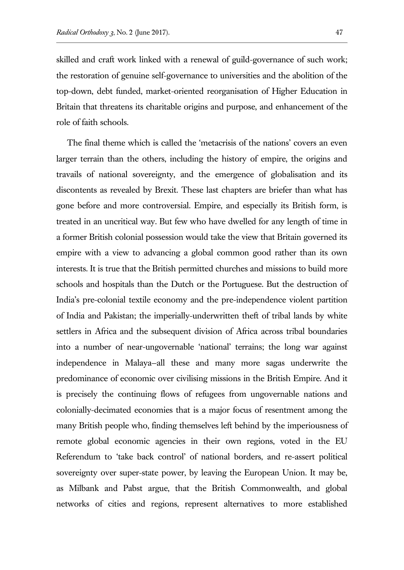skilled and craft work linked with a renewal of guild-governance of such work; the restoration of genuine self-governance to universities and the abolition of the top-down, debt funded, market-oriented reorganisation of Higher Education in Britain that threatens its charitable origins and purpose, and enhancement of the role of faith schools.

The final theme which is called the 'metacrisis of the nations' covers an even larger terrain than the others, including the history of empire, the origins and travails of national sovereignty, and the emergence of globalisation and its discontents as revealed by Brexit. These last chapters are briefer than what has gone before and more controversial. Empire, and especially its British form, is treated in an uncritical way. But few who have dwelled for any length of time in a former British colonial possession would take the view that Britain governed its empire with a view to advancing a global common good rather than its own interests. It is true that the British permitted churches and missions to build more schools and hospitals than the Dutch or the Portuguese. But the destruction of India's pre-colonial textile economy and the pre-independence violent partition of India and Pakistan; the imperially-underwritten theft of tribal lands by white settlers in Africa and the subsequent division of Africa across tribal boundaries into a number of near-ungovernable 'national' terrains; the long war against independence in Malaya—all these and many more sagas underwrite the predominance of economic over civilising missions in the British Empire. And it is precisely the continuing flows of refugees from ungovernable nations and colonially-decimated economies that is a major focus of resentment among the many British people who, finding themselves left behind by the imperiousness of remote global economic agencies in their own regions, voted in the EU Referendum to 'take back control' of national borders, and re-assert political sovereignty over super-state power, by leaving the European Union. It may be, as Milbank and Pabst argue, that the British Commonwealth, and global networks of cities and regions, represent alternatives to more established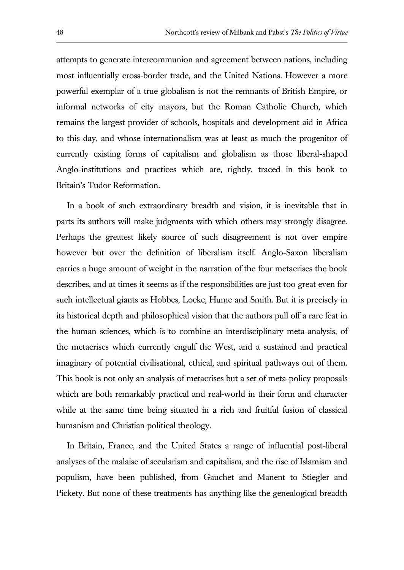attempts to generate intercommunion and agreement between nations, including most influentially cross-border trade, and the United Nations. However a more powerful exemplar of a true globalism is not the remnants of British Empire, or informal networks of city mayors, but the Roman Catholic Church, which remains the largest provider of schools, hospitals and development aid in Africa to this day, and whose internationalism was at least as much the progenitor of currently existing forms of capitalism and globalism as those liberal-shaped Anglo-institutions and practices which are, rightly, traced in this book to Britain's Tudor Reformation.

In a book of such extraordinary breadth and vision, it is inevitable that in parts its authors will make judgments with which others may strongly disagree. Perhaps the greatest likely source of such disagreement is not over empire however but over the definition of liberalism itself. Anglo-Saxon liberalism carries a huge amount of weight in the narration of the four metacrises the book describes, and at times it seems as if the responsibilities are just too great even for such intellectual giants as Hobbes, Locke, Hume and Smith. But it is precisely in its historical depth and philosophical vision that the authors pull off a rare feat in the human sciences, which is to combine an interdisciplinary meta-analysis, of the metacrises which currently engulf the West, and a sustained and practical imaginary of potential civilisational, ethical, and spiritual pathways out of them. This book is not only an analysis of metacrises but a set of meta-policy proposals which are both remarkably practical and real-world in their form and character while at the same time being situated in a rich and fruitful fusion of classical humanism and Christian political theology.

In Britain, France, and the United States a range of influential post-liberal analyses of the malaise of secularism and capitalism, and the rise of Islamism and populism, have been published, from Gauchet and Manent to Stiegler and Pickety. But none of these treatments has anything like the genealogical breadth